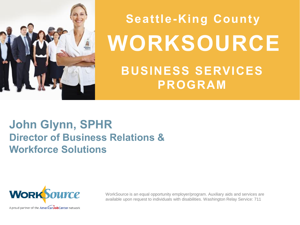

# **WORKSOURCE BUSINESS SERVICES PROGRAM Seattle-King County**

## **John Glynn, SPHR Director of Business Relations & Workforce Solutions**



WorkSource is an equal opportunity employer/program. Auxiliary aids and services are available upon request to individuals with disabilities. Washington Relay Service: 711

A proud partner of the AmericanJobCenter network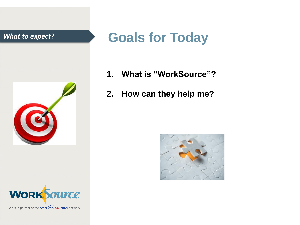

# **WORKSource**

A proud partner of the American Job Center network

# *What to expect?* **Goals for Today**

- **1. What is "WorkSource"?**
- **2. How can they help me?**

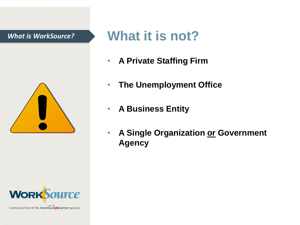### *What is WorkSource?*





A proud partner of the AmericanJobCenter network

# **What it is not?**

- **A Private Staffing Firm**
- **The Unemployment Office**
- **A Business Entity**
- **A Single Organization or Government Agency**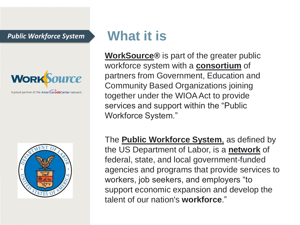*Public Workforce System*



A proud partner of the AmericanJobCenter network



# **What it is**

**WorkSource®** is part of the greater public workforce system with a **consortium** of partners from Government, Education and Community Based Organizations joining together under the WIOA Act to provide services and support within the "Public Workforce System."

The **Public Workforce System**, as defined by the US Department of Labor, is a **network** of federal, state, and local government-funded agencies and programs that provide services to workers, job seekers, and employers "to support economic expansion and develop the talent of our nation's **workforce**."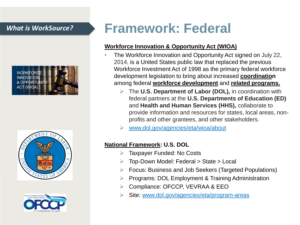





# *What is WorkSource?* **Framework: Federal**

### **Workforce Innovation & Opportunity Act (WIOA)**

- The Workforce Innovation and Opportunity Act signed on July 22, 2014, is a United States public law that replaced the previous Workforce Investment Act of 1998 as the primary federal workforce development legislation to bring about increased **coordination** among federal **workforce development** and **related programs.**
	- ➢ The **U.S. Department of Labor (DOL),** in coordination with federal partners at the **U.S. Departments of Education (ED)**  and **Health and Human Services (HHS),** collaborate to provide information and resources for states, local areas, nonprofits and other grantees, and other stakeholders.
	- ➢ [www.dol.gov/agencies/eta/wioa/about](http://www.dol.gov/agencies/eta/wioa/about)

### **National Framework: U.S. DOL**

- ➢ Taxpayer Funded: No Costs
- ➢ Top-Down Model: Federal > State > Local
- ➢ Focus: Business and Job Seekers (Targeted Populations)
- ➢ Programs: DOL Employment & Training Administration
- ➢ Compliance: OFCCP, VEVRAA & EEO
- Site: [www.dol.gov/agencies/eta/program-areas](http://www.dol.gov/agencies/eta/program-areas)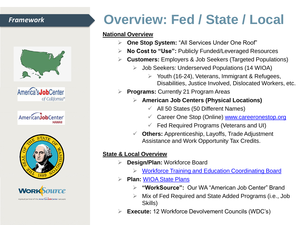### *Framework*



America<sup>\*</sup>s**Job**Center of California<sup>sм</sup>







# **Overview: Fed / State / Local**

#### **National Overview**

- ➢ **One Stop System:** "All Services Under One Roof"
- ➢ **No Cost to "Use":** Publicly Funded/Leveraged Resources
- ➢ **Customers:** Employers & Job Seekers (Targeted Populations)
	- ➢ Job Seekers: Underserved Populations (14 WIOA)
		- ➢ Youth (16-24), Veterans, Immigrant & Refugees, Disabilities, Justice Involved, Dislocated Workers, etc.
- ➢ **Programs:** Currently 21 Program Areas
	- ➢ **American Job Centers (Physical Locations)**
		- $\checkmark$  All 50 States (50 Different Names)
		- ✓ Career One Stop (Online) [www.careeronestop.org](http://www.careeronestop.org/)
		- $\checkmark$  Fed Required Programs (Veterans and UI)
	- ✓ **Others:** Apprenticeship, Layoffs, Trade Adjustment Assistance and Work Opportunity Tax Credits.

### **State & Local Overview**

- ➢ **Design/Plan:** Workforce Board
	- ➢ [Workforce Training and Education Coordinating Board](http://www.wtb.wa.gov/)
- ➢ **Plan:** [WIOA State Plans](https://wioaplans.ed.gov/)
	- ➢ **"WorkSource":** Our WA "American Job Center" Brand
	- ➢ Mix of Fed Required and State Added Programs (i.e., Job Skills)
- ➢ **Execute:** 12 Workforce Devolvement Councils (WDC's)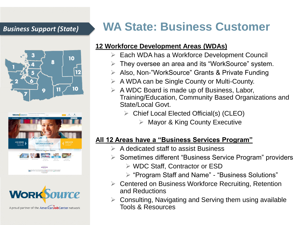





## *Business Support (State)* **WA State: Business Customer**

### **12 Workforce Development Areas (WDAs)**

- ➢ Each WDA has a Workforce Development Council
- ➢ They oversee an area and its "WorkSource" system.
- ➢ Also, Non-"WorkSource" Grants & Private Funding
- ➢ A WDA can be Single County or Multi-County.
- $\triangleright$  A WDC Board is made up of Business, Labor, Training/Education, Community Based Organizations and State/Local Govt.
	- ➢ Chief Local Elected Official(s) (CLEO)
		- $\triangleright$  Mayor & King County Executive

## **All 12 Areas have a "Business Services Program"**

- $\triangleright$  A dedicated staff to assist Business
- ➢ Sometimes different "Business Service Program" providers
	- ➢ WDC Staff, Contractor or ESD
	- ➢ "Program Staff and Name" "Business Solutions"
- ➢ Centered on Business Workforce Recruiting, Retention and Reductions
- ➢ Consulting, Navigating and Serving them using available Tools & Resources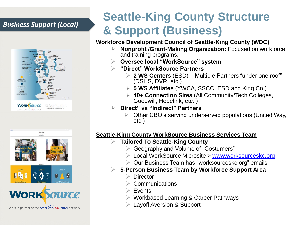



# **Seattle-King County Structure & Support (Business)** *Business Support (Local)*

### **Workforce Development Council of Seattle-King County (WDC)**

- ➢ **Nonprofit /Grant-Making Organization:** Focused on workforce and training programs.
- ➢ **Oversee local "WorkSource" system**
- ➢ **"Direct" WorkSource Partners**
	- ➢ **2 WS Centers** (ESD) Multiple Partners "under one roof" (DSHS, DVR, etc.)
	- ➢ **5 WS Affiliates** (YWCA, SSCC, ESD and King Co.)
	- ➢ **40+ Connection Sites** (All Community/Tech Colleges, Goodwill, Hopelink, etc..)
- ➢ **Direct" vs "Indirect" Partners**
	- ➢ Other CBO's serving underserved populations (United Way, etc.)

### **Seattle-King County WorkSource Business Services Team**

- ➢ **Tailored To Seattle-King County**
	- ➢ Geography and Volume of "Costumers"
	- ➢ Local WorkSource Microsite > [www.worksourceskc.org](http://www.worksourceskc.org/)
	- ➢ Our Business Team has "worksourceskc.org" emails

### ➢ **5-Person Business Team by Workforce Support Area**

- ➢ Director
- **Communications**
- ➢ Events
- ➢ Workbased Learning & Career Pathways
- ➢ Layoff Aversion & Support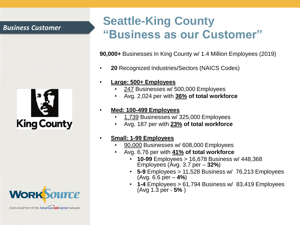### *Business Customer*





A proud partner of the AmericanJobCenter network

## **Seattle-King County "Business as our Customer"**

**90,000+** Businesses In King County w/ 1.4 Million Employees (2019)

- **20** Recognized Industries/Sectors (NAICS Codes)
- **Large: 500+ Employees** 
	- 247 Businesses w/ 500,000 Employees
	- Avg. 2,024 per with **36% of total workforce**

#### • **Med: 100-499 Employees**

- 1,739 Businesses w/ 325,000 Employees
- Avg. 187 per with **23% of total workforce**

#### • **Small: 1-99 Employees**

- 90,000 Businesses w/ 608,000 Employees
- Avg. 6.76 per with **41% of total workforce**
	- **10-99** Employees > 16,678 Business w/ 448,368 Employees (Avg. 3.7 per – **32%**)
	- **5-9** Employees > 11,528 Business w/ 76,213 Employees (Avg. 6.6 per – **4%**)
	- **1-4** Employees > 61,794 Business w/ 83,419 Employees (Avg 1.3 per - **5%** )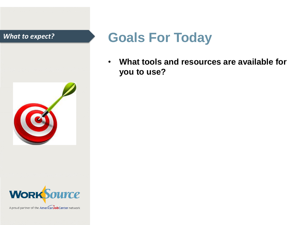



# *What to expect?* **Goals For Today**

• **What tools and resources are available for you to use?**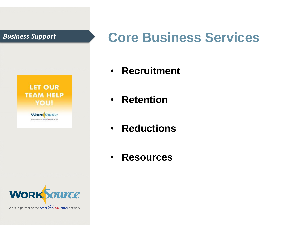

# *Business Support* **Core Business Services**

- **Recruitment**
- **Retention**
- **Reductions**
- **Resources**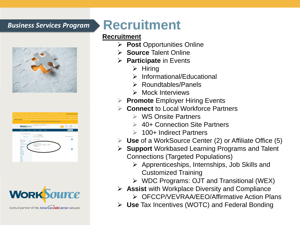

| <b>WORK</b> Source                                                                                                                                                                                                                                                            | Teach thought of pity or Welfasto Uniterpre-<br>The lemalst is an author                                                   | - 3                                             |
|-------------------------------------------------------------------------------------------------------------------------------------------------------------------------------------------------------------------------------------------------------------------------------|----------------------------------------------------------------------------------------------------------------------------|-------------------------------------------------|
| <b>Mr Welchanner</b> -<br><b>Carrer Inch.</b>                                                                                                                                                                                                                                 | Went<br><b>Resources -</b><br><b>Rota</b> -<br>Spatights -                                                                 | <b>CAMARY</b><br><b>Tark June</b><br>Instinuity |
| South Wis total the and origin was today.<br><b>KAntings</b><br>Y Seach frest<br>Current based.<br>Day Well<br><b>Network</b><br>Competition<br><b>Ported Onte</b><br>ALLINE<br><b>Table</b><br>Yesterday<br><b>List June</b><br><b>MEZONS</b><br>Law 12 tout<br>Link Mutines | All jobs in Washington<br>Sympax (Delai) Adversed Syarch G.<br>Ada 5.5 of 1.1 Page 3 of 3                                  | Series February (246)                           |
|                                                                                                                                                                                                                                                                               | Associate Technician<br>Commete Recentevelor 17 Septs, WL 17400021<br>(1) Seley/Wear \$22.00-<br>Ado 6 Folf El Popc'Fall 1 |                                                 |



# **Business Services Program Recruitment**

### **Recruitment**

- ➢ **Post** Opportunities Online
- ➢ **Source** Talent Online
- ➢ **Participate** in Events
	- ➢ Hiring
	- ➢ Informational/Educational
	- ➢ Roundtables/Panels
	- ➢ Mock Interviews
- ➢ **Promote** Employer Hiring Events
- ➢ **Connect** to Local Workforce Partners
	- ➢ WS Onsite Partners
	- ➢ 40+ Connection Site Partners
	- ➢ 100+ Indirect Partners
- ➢ **Use** of a WorkSource Center (2) or Affiliate Office (5)
- ➢ **Support** Workbased Learning Programs and Talent Connections (Targeted Populations)
	- ➢ Apprenticeships, Internships, Job Skills and Customized Training
	- ➢ WDC Programs: OJT and Transitional (WEX)
- ➢ **Assist** with Workplace Diversity and Compliance
	- ➢ OFCCP/VEVRAA/EEO/Affirmative Action Plans
- ➢ **Use** Tax Incentives (WOTC) and Federal Bonding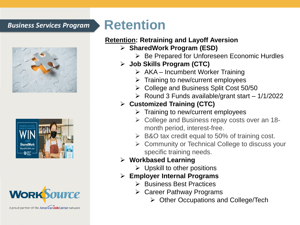## *Business Services Program* **Retention**







A proud partner of the AmericanJobCenter network

### **Retention: Retraining and Layoff Aversion**

- ➢ **SharedWork Program (ESD)**
	- ➢ Be Prepared for Unforeseen Economic Hurdles
- ➢ **Job Skills Program (CTC)**
	- $\triangleright$  AKA Incumbent Worker Training
	- ➢ Training to new/current employees
	- ➢ College and Business Split Cost 50/50
	- $\triangleright$  Round 3 Funds available/grant start 1/1/2022

### ➢ **Customized Training (CTC)**

- $\triangleright$  Training to new/current employees
- ➢ College and Business repay costs over an 18 month period, interest-free.
- $\triangleright$  B&O tax credit equal to 50% of training cost.
- ➢ Community or Technical College to discuss your specific training needs.

### ➢ **Workbased Learning**

 $\triangleright$  Upskill to other positions

### ➢ **Employer Internal Programs**

- ➢ Business Best Practices
- ➢ Career Pathway Programs
	- ➢ Other Occupations and College/Tech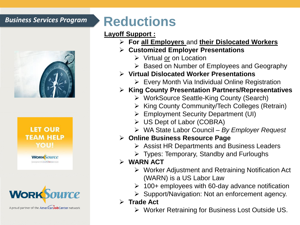

### **LET OUR TEAM HELP** YOU!

**WORK** SOUTCE



A proud partner of the AmericanJobCenter network

# *Business Services Program* **Reductions**

### **Layoff Support :**

- ➢ **For all Employers** and **their Dislocated Workers**
- ➢ **Customized Employer Presentations** 
	- ➢ Virtual or on Location
	- ➢ Based on Number of Employees and Geography
- ➢ **Virtual Dislocated Worker Presentations**
	- ➢ Every Month Via Individual Online Registration
- ➢ **King County Presentation Partners/Representatives**
	- ➢ WorkSource Seattle-King County (Search)
	- ➢ King County Community/Tech Colleges (Retrain)
	- ➢ Employment Security Department (UI)
	- ➢ US Dept of Labor (COBRA)
	- ➢ WA State Labor Council *By Employer Request*

### ➢ **Online Business Resource Page**

- ➢ Assist HR Departments and Business Leaders
- ➢ Types: Temporary, Standby and Furloughs

## ➢ **WARN ACT**

- ➢ Worker Adjustment and Retraining Notification Act (WARN) is a US Labor Law
- $\geq 100+$  employees with 60-day advance notification
- ➢ Support/Navigation: Not an enforcement agency.
- ➢ **Trade Act** 
	- ➢ Worker Retraining for Business Lost Outside US.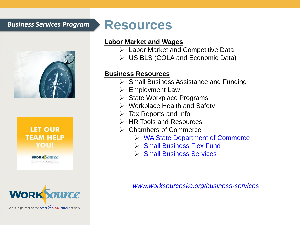## *Business Services Program* **Resources**





**WORK**SOUTCE



A proud partner of the American Job Center network

### **Labor Market and Wages**

- ➢ Labor Market and Competitive Data
- ➢ US BLS (COLA and Economic Data)

### **Business Resources**

- ➢ Small Business Assistance and Funding
- ➢ Employment Law
- ➢ State Workplace Programs
- ➢ Workplace Health and Safety
- $\triangleright$  Tax Reports and Info
- ➢ HR Tools and Resources
- ➢ Chambers of Commerce
	- ➢ [WA State Department of Commerce](https://www.commerce.wa.gov/)
	- ➢ [Small Business Flex Fund](https://smallbusinessflexfund.org/)
	- ➢ [Small Business Services](https://www.commerce.wa.gov/growing-the-economy/business-services/)

*[www.worksourceskc.org/business-services](http://www.worksourceskc.org/business-services)*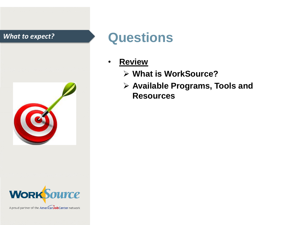



# *What to expect?* **Questions**

- **Review**
	- ➢ **What is WorkSource?**
	- ➢ **Available Programs, Tools and Resources**